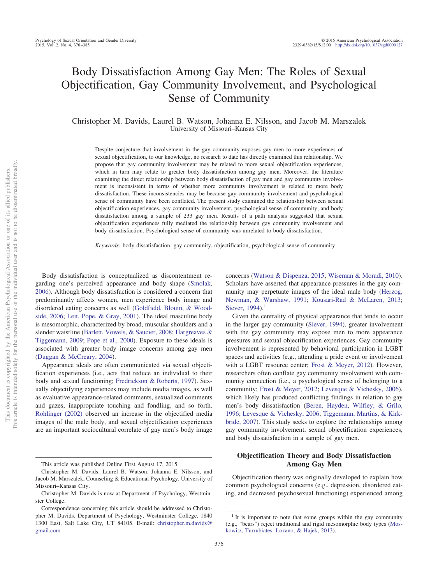# Body Dissatisfaction Among Gay Men: The Roles of Sexual Objectification, Gay Community Involvement, and Psychological Sense of Community

Christopher M. Davids, Laurel B. Watson, Johanna E. Nilsson, and Jacob M. Marszalek University of Missouri–Kansas City

Despite conjecture that involvement in the gay community exposes gay men to more experiences of sexual objectification, to our knowledge, no research to date has directly examined this relationship. We propose that gay community involvement may be related to more sexual objectification experiences, which in turn may relate to greater body dissatisfaction among gay men. Moreover, the literature examining the direct relationship between body dissatisfaction of gay men and gay community involvement is inconsistent in terms of whether more community involvement is related to more body dissatisfaction. These inconsistencies may be because gay community involvement and psychological sense of community have been conflated. The present study examined the relationship between sexual objectification experiences, gay community involvement, psychological sense of community, and body dissatisfaction among a sample of 233 gay men. Results of a path analysis suggested that sexual objectification experiences fully mediated the relationship between gay community involvement and body dissatisfaction. Psychological sense of community was unrelated to body dissatisfaction.

*Keywords:* body dissatisfaction, gay community, objectification, psychological sense of community

Body dissatisfaction is conceptualized as discontentment regarding one's perceived appearance and body shape [\(Smolak,](#page-8-0) [2006\)](#page-8-0). Although body dissatisfaction is considered a concern that predominantly affects women, men experience body image and disordered eating concerns as well [\(Goldfield, Blouin, & Wood](#page-7-0)[side, 2006;](#page-7-0) [Leit, Pope, & Gray, 2001\)](#page-7-1). The ideal masculine body is mesomorphic, characterized by broad, muscular shoulders and a slender waistline [\(Barlett, Vowels, & Saucier, 2008;](#page-6-0) [Hargreaves &](#page-7-2) [Tiggemann, 2009;](#page-7-2) [Pope et al., 2000\)](#page-8-1). Exposure to these ideals is associated with greater body image concerns among gay men [\(Duggan & McCreary, 2004\)](#page-7-3).

Appearance ideals are often communicated via sexual objectification experiences (i.e., acts that reduce an individual to their body and sexual functioning; [Fredrickson & Roberts, 1997\)](#page-7-4). Sexually objectifying experiences may include media images, as well as evaluative appearance-related comments, sexualized comments and gazes, inappropriate touching and fondling, and so forth. [Rohlinger \(2002\)](#page-8-2) observed an increase in the objectified media images of the male body, and sexual objectification experiences are an important sociocultural correlate of gay men's body image concerns [\(Watson & Dispenza, 2015;](#page-8-3) [Wiseman & Moradi, 2010\)](#page-8-4). Scholars have asserted that appearance pressures in the gay community may perpetuate images of the ideal male body [\(Herzog,](#page-7-5) [Newman, & Warshaw, 1991;](#page-7-5) [Kousari-Rad & McLaren, 2013;](#page-7-6) [Siever, 1994\)](#page-8-5).<sup>1</sup>

Given the centrality of physical appearance that tends to occur in the larger gay community [\(Siever, 1994\)](#page-8-5), greater involvement with the gay community may expose men to more appearance pressures and sexual objectification experiences. Gay community involvement is represented by behavioral participation in LGBT spaces and activities (e.g., attending a pride event or involvement with a LGBT resource center; [Frost & Meyer, 2012\)](#page-7-7). However, researchers often conflate gay community involvement with community connection (i.e., a psychological sense of belonging to a community; [Frost & Meyer, 2012;](#page-7-7) [Levesque & Vichesky, 2006\)](#page-7-8), which likely has produced conflicting findings in relation to gay men's body dissatisfaction [\(Beren, Hayden, Wilfley, & Grilo,](#page-6-1) [1996;](#page-6-1) [Levesque & Vichesky, 2006;](#page-7-8) [Tiggemann, Martins, & Kirk](#page-8-6)[bride, 2007\)](#page-8-6). This study seeks to explore the relationships among gay community involvement, sexual objectification experiences, and body dissatisfaction in a sample of gay men.

# **Objectification Theory and Body Dissatisfaction Among Gay Men**

Objectification theory was originally developed to explain how common psychological concerns (e.g., depression, disordered eating, and decreased psychosexual functioning) experienced among

This article was published Online First August 17, 2015.

Christopher M. Davids, Laurel B. Watson, Johanna E. Nilsson, and Jacob M. Marszalek, Counseling & Educational Psychology, University of Missouri–Kansas City.

Christopher M. Davids is now at Department of Psychology, Westminster College.

Correspondence concerning this article should be addressed to Christopher M. Davids, Department of Psychology, Westminster College, 1840 1300 East, Salt Lake City, UT 84105. E-mail: [christopher.m.davids@](mailto:christopher.m.davids@gmail.com) [gmail.com](mailto:christopher.m.davids@gmail.com)

 $1$ <sup>1</sup> It is important to note that some groups within the gay community (e.g., "bears") reject traditional and rigid mesomorphic body types [\(Mos](#page-8-7)[kowitz, Turrubiates, Lozano, & Hajek, 2013\)](#page-8-7).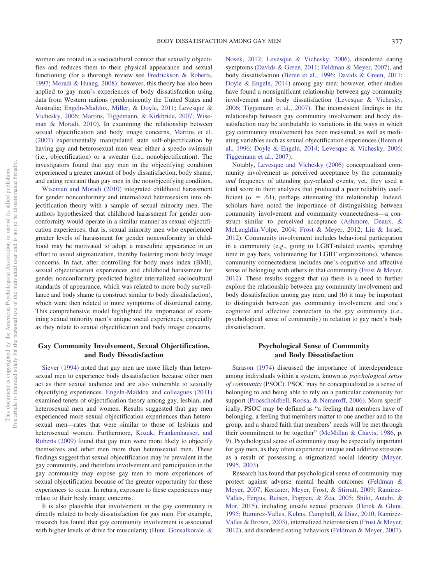women are rooted in a sociocultural context that sexually objectifies and reduces them to their physical appearance and sexual functioning (for a thorough review see [Fredrickson & Roberts,](#page-7-4) [1997;](#page-7-4) [Moradi & Huang, 2008\)](#page-8-8); however, this theory has also been applied to gay men's experiences of body dissatisfaction using data from Western nations (predominently the United States and Australia; [Engeln-Maddox, Miller, & Doyle, 2011;](#page-7-9) [Levesque &](#page-7-8) [Vichesky, 2006;](#page-7-8) [Martins, Tiggemann, & Kirkbride, 2007;](#page-7-10) [Wise](#page-8-4)[man & Moradi, 2010\)](#page-8-4). In examining the relationship between sexual objectification and body image concerns, [Martins et al.](#page-7-10) [\(2007\)](#page-7-10) experimentally manipulated state self-objectification by having gay and heterosexual men wear either a speedo swimsuit (i.e., objectification) or a sweater (i.e., nonobjectification). The investigators found that gay men in the objectifying condition experienced a greater amount of body dissatisfaction, body shame, and eating restraint than gay men in the nonobjectifying condition.

[Wiseman and Moradi \(2010\)](#page-8-4) integrated childhood harassment for gender nonconformity and internalized heterosexism into objectification theory with a sample of sexual minority men. The authors hypothesized that childhood harassment for gender nonconformity would operate in a similar manner as sexual objectification experiences; that is, sexual minority men who experienced greater levels of harassment for gender nonconformity in childhood may be motivated to adopt a masculine appearance in an effort to avoid stigmatization, thereby fostering more body image concerns. In fact, after controlling for body mass index (BMI), sexual objectification experiences and childhood harassment for gender nonconformity predicted higher internalized sociocultural standards of appearance, which was related to more body surveillance and body shame (a construct similar to body dissatisfaction), which were then related to more symptoms of disordered eating. This comprehensive model highlighted the importance of examining sexual minority men's unique social experiences, especially as they relate to sexual objectification and body image concerns.

# **Gay Community Involvement, Sexual Objectification, and Body Dissatisfaction**

[Siever \(1994\)](#page-8-5) noted that gay men are more likely than heterosexual men to experience body dissatisfaction because other men act as their sexual audience and are also vulnerable to sexually objectifying experiences. [Engeln-Maddox and colleagues \(2011\)](#page-7-9) examined tenets of objectification theory among gay, lesbian, and heterosexual men and women. Results suggested that gay men experienced more sexual objectification experiences than heterosexual men—rates that were similar to those of lesbians and heterosexual women. Furthermore, [Kozak, Frankenhauser, and](#page-7-11) [Roberts \(2009\)](#page-7-11) found that gay men were more likely to objectify themselves and other men more than heterosexual men. These findings suggest that sexual objectification may be prevalent in the gay community, and therefore involvement and participation in the gay community may expose gay men to more experiences of sexual objectification because of the greater opportunity for these experiences to occur. In return, exposure to these experiences may relate to their body image concerns.

It is also plausible that involvement in the gay community is directly related to body dissatisfaction for gay men. For example, research has found that gay community involvement is associated with higher levels of drive for muscularity [\(Hunt, Gonsalkorale, &](#page-7-12)

[Nosek, 2012;](#page-7-12) [Levesque & Vichesky, 2006\)](#page-7-8), disordered eating symptoms [\(Davids & Green, 2011;](#page-6-2) [Feldman & Meyer, 2007\)](#page-7-13), and body dissatisfaction [\(Beren et al., 1996;](#page-6-1) [Davids & Green, 2011;](#page-6-2) [Doyle & Engeln, 2014\)](#page-6-3) among gay men; however, other studies have found a nonsignificant relationship between gay community involvement and body dissatisfaction [\(Levesque & Vichesky,](#page-7-8) [2006;](#page-7-8) [Tiggemann et al., 2007\)](#page-8-6). The inconsistent findings in the relationship between gay community involvement and body dissatisfaction may be attributable to variations in the ways in which gay community involvement has been measured, as well as mediating variables such as sexual objectification experiences [\(Beren et](#page-6-1) [al., 1996;](#page-6-1) [Doyle & Engeln, 2014;](#page-6-3) [Levesque & Vichesky, 2006;](#page-7-8) [Tiggemann et al., 2007\)](#page-8-6).

Notably, [Levesque and Vichesky \(2006\)](#page-7-8) conceptualized community involvement as perceived acceptance by the community *and* frequency of attending gay-related events; yet, they used a total score in their analyses that produced a poor reliability coefficient ( $\alpha = .61$ ), perhaps attenuating the relationship. Indeed, scholars have noted the importance of distinguishing between community involvement and community connectedness—a construct similar to perceived acceptance [\(Ashmore, Deaux, &](#page-6-4) [McLaughlin-Volpe, 2004;](#page-6-4) [Frost & Meyer, 2012;](#page-7-7) [Lin & Israel,](#page-7-14) [2012\)](#page-7-14). Community involvement includes behavioral participation in a community (e.g., going to LGBT-related events, spending time in gay bars, volunteering for LGBT organizations), whereas community connectedness includes one's cognitive and affective sense of belonging with others in that community [\(Frost & Meyer,](#page-7-7) [2012\)](#page-7-7). These results suggest that (a) there is a need to further explore the relationship between gay community involvement and body dissatisfaction among gay men; and (b) it may be important to distinguish between gay community involvement and one's cognitive and affective connection to the gay community (i.e., psychological sense of community) in relation to gay men's body dissatisfaction.

# **Psychological Sense of Community and Body Dissatisfaction**

[Sarason \(1974\)](#page-8-9) discussed the importance of interdependence among individuals within a system, known as *psychological sense of community* (PSOC). PSOC may be conceptualized as a sense of belonging to and being able to rely on a particular community for support [\(Proescholdbell, Roosa, & Nemeroff, 2006\)](#page-8-10). More specifically, PSOC may be defined as "a feeling that members have of belonging, a feeling that members matter to one another and to the group, and a shared faith that members' needs will be met through their commitment to be together" [\(McMillan & Chavis, 1986,](#page-7-15) p. 9). Psychological sense of community may be especially important for gay men, as they often experience unique and additive stressors as a result of possessing a stigmatized social identity [\(Meyer,](#page-7-16) [1995,](#page-7-16) [2003\)](#page-7-17).

Research has found that psychological sense of community may protect against adverse mental health outcomes [\(Feldman &](#page-7-13) [Meyer, 2007;](#page-7-13) [Kertzner, Meyer, Frost, & Stirratt, 2009;](#page-7-18) [Ramirez-](#page-8-11)[Valles, Fergus, Reisen, Poppen, & Zea, 2005;](#page-8-11) [Shilo, Antebi, &](#page-8-12) [Mor, 2015\)](#page-8-12), including unsafe sexual practices [\(Herek & Glunt,](#page-7-19) [1995;](#page-7-19) [Ramirez-Valles, Kuhns, Campbell, & Diaz, 2010;](#page-8-13) [Ramirez-](#page-8-14)[Valles & Brown, 2003\)](#page-8-14), internalized heterosexism [\(Frost & Meyer,](#page-7-7) [2012\)](#page-7-7), and disordered eating behaviors [\(Feldman & Meyer, 2007\)](#page-7-13).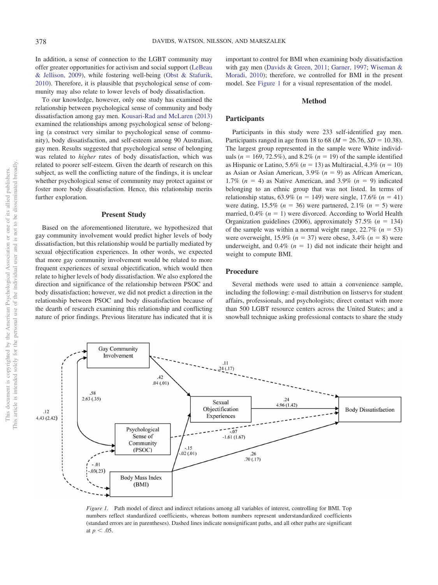In addition, a sense of connection to the LGBT community may offer greater opportunities for activism and social support [\(LeBeau](#page-7-20) [& Jellison, 2009\)](#page-7-20), while fostering well-being [\(Obst & Stafurik,](#page-8-15) [2010\)](#page-8-15). Therefore, it is plausible that psychological sense of community may also relate to lower levels of body dissatisfaction.

To our knowledge, however, only one study has examined the relationship between psychological sense of community and body dissatisfaction among gay men. [Kousari-Rad and McLaren \(2013\)](#page-7-6) examined the relationships among psychological sense of belonging (a construct very similar to psychological sense of community), body dissatisfaction, and self-esteem among 90 Australian, gay men. Results suggested that psychological sense of belonging was related to *higher* rates of body dissatisfaction, which was related to poorer self-esteem. Given the dearth of research on this subject, as well the conflicting nature of the findings, it is unclear whether psychological sense of community may protect against or foster more body dissatisfaction. Hence, this relationship merits further exploration.

## **Present Study**

Based on the aforementioned literature, we hypothesized that gay community involvement would predict higher levels of body dissatisfaction, but this relationship would be partially mediated by sexual objectification experiences. In other words, we expected that more gay community involvement would be related to more frequent experiences of sexual objectification, which would then relate to higher levels of body dissatisfaction. We also explored the direction and significance of the relationship between PSOC and body dissatisfaction; however, we did not predict a direction in the relationship between PSOC and body dissatisfaction because of the dearth of research examining this relationship and conflicting nature of prior findings. Previous literature has indicated that it is important to control for BMI when examining body dissatisfaction with gay men [\(Davids & Green, 2011;](#page-6-2) [Garner, 1997;](#page-7-21) [Wiseman &](#page-8-4) [Moradi, 2010\)](#page-8-4); therefore, we controlled for BMI in the present model. See [Figure 1](#page-2-0) for a visual representation of the model.

## **Method**

#### **Participants**

Participants in this study were 233 self-identified gay men. Participants ranged in age from 18 to 68 ( $M = 26.76$ ,  $SD = 10.38$ ). The largest group represented in the sample were White individuals ( $n = 169, 72.5\%$ ), and 8.2% ( $n = 19$ ) of the sample identified as Hispanic or Latino, 5.6% (*n* 13) as Multiracial, 4.3% (*n* 10) as Asian or Asian American,  $3.9\%$  ( $n = 9$ ) as African American, 1.7%  $(n = 4)$  as Native American, and 3.9%  $(n = 9)$  indicated belonging to an ethnic group that was not listed. In terms of relationship status,  $63.9\%$  ( $n = 149$ ) were single,  $17.6\%$  ( $n = 41$ ) were dating,  $15.5\%$  ( $n = 36$ ) were partnered,  $2.1\%$  ( $n = 5$ ) were married,  $0.4\%$  ( $n = 1$ ) were divorced. According to World Health Organization guidelines (2006), approximately  $57.5\%$  ( $n = 134$ ) of the sample was within a normal weight range,  $22.7\%$  ( $n = 53$ ) were overweight,  $15.9\%$  ( $n = 37$ ) were obese,  $3.4\%$  ( $n = 8$ ) were underweight, and  $0.4\%$  ( $n = 1$ ) did not indicate their height and weight to compute BMI.

# **Procedure**

Several methods were used to attain a convenience sample, including the following: e-mail distribution on listservs for student affairs, professionals, and psychologists; direct contact with more than 500 LGBT resource centers across the United States; and a snowball technique asking professional contacts to share the study



<span id="page-2-0"></span>*Figure 1.* Path model of direct and indirect relations among all variables of interest, controlling for BMI. Top numbers reflect standardized coefficients, whereas bottom numbers represent understandardized coefficients (standard errors are in parentheses). Dashed lines indicate nonsignificant paths, and all other paths are significant at  $p < .05$ .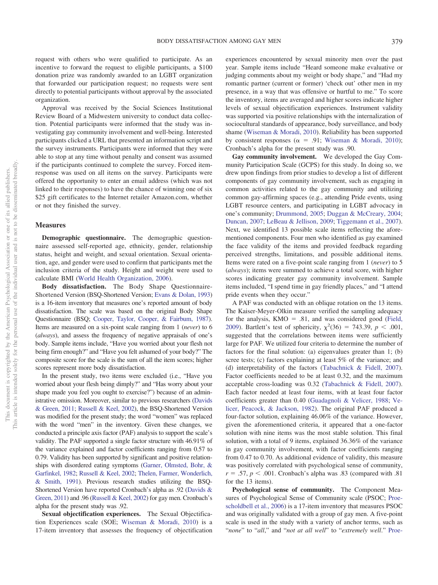request with others who were qualified to participate. As an incentive to forward the request to eligible participants, a \$100 donation prize was randomly awarded to an LGBT organization that forwarded our participation request; no requests were sent directly to potential participants without approval by the associated organization.

Approval was received by the Social Sciences Institutional Review Board of a Midwestern university to conduct data collection. Potential participants were informed that the study was investigating gay community involvement and well-being. Interested participants clicked a URL that presented an information script and the survey instruments. Participants were informed that they were able to stop at any time without penalty and consent was assumed if the participants continued to complete the survey. Forced itemresponse was used on all items on the survey. Participants were offered the opportunity to enter an email address (which was not linked to their responses) to have the chance of winning one of six \$25 gift certificates to the Internet retailer Amazon.com, whether or not they finished the survey.

#### **Measures**

**Demographic questionnaire.** The demographic questionnaire assessed self-reported age, ethnicity, gender, relationship status, height and weight, and sexual orientation. Sexual orientation, age, and gender were used to confirm that participants met the inclusion criteria of the study. Height and weight were used to calculate BMI [\(World Health Organization, 2006\)](#page-8-16).

**Body dissatisfaction.** The Body Shape Questionnaire-Shortened Version (BSQ-Shortened Version; [Evans & Dolan, 1993\)](#page-7-22) is a 16-item inventory that measures one's reported amount of body dissatisfaction. The scale was based on the original Body Shape Questionnaire (BSQ; [Cooper, Taylor, Cooper, & Fairbum, 1987\)](#page-6-5). Items are measured on a six-point scale ranging from 1 (*never*) to 6 (*always*), and assess the frequency of negative appraisals of one's body. Sample items include, "Have you worried about your flesh not being firm enough?" and "Have you felt ashamed of your body?" The composite score for the scale is the sum of all the item scores; higher scores represent more body dissatisfaction.

In the present study, two items were excluded (i.e., "Have you worried about your flesh being dimply?" and "Has worry about your shape made you feel you ought to exercise?") because of an administrative omission. Moreover, similar to previous researchers [\(Davids](#page-6-2) [& Green, 2011;](#page-6-2) [Russell & Keel, 2002\)](#page-8-17), the BSQ-Shortened Version was modified for the present study; the word "women" was replaced with the word "men" in the inventory. Given these changes, we conducted a principle axis factor (PAF) analysis to support the scale's validity. The PAF supported a single factor structure with 46.91% of the variance explained and factor coefficients ranging from 0.57 to 0.79. Validity has been supported by significant and positive relationships with disordered eating symptoms [\(Garner, Olmsted, Bohr, &](#page-7-23) [Garfinkel, 1982;](#page-7-23) [Russell & Keel, 2002;](#page-8-17) [Thelen, Farmer, Wonderlich,](#page-8-18) [& Smith, 1991\)](#page-8-18). Previous research studies utilizing the BSQ-Shortened Version have reported Cronbach's alpha as .92 [\(Davids &](#page-6-2) [Green, 2011\)](#page-6-2) and .96 [\(Russell & Keel, 2002\)](#page-8-17) for gay men. Cronbach's alpha for the present study was .92.

**Sexual objectification experiences.** The Sexual Objectification Experiences scale (SOE; [Wiseman & Moradi, 2010\)](#page-8-4) is a 17-item inventory that assesses the frequency of objectification experiences encountered by sexual minority men over the past year. Sample items include "Heard someone make evaluative or judging comments about my weight or body shape," and "Had my romantic partner (current or former) 'check out' other men in my presence, in a way that was offensive or hurtful to me." To score the inventory, items are averaged and higher scores indicate higher levels of sexual objectification experiences. Instrument validity was supported via positive relationships with the internalization of sociocultural standards of appearance, body surveillance, and body shame [\(Wiseman & Moradi, 2010\)](#page-8-4). Reliability has been supported by consistent responses ( $\alpha = .91$ ; [Wiseman & Moradi, 2010\)](#page-8-4); Cronbach's alpha for the present study was .90.

**Gay community involvement.** We developed the Gay Community Participation Scale (GCPS) for this study. In doing so, we drew upon findings from prior studies to develop a list of different components of gay community involvement, such as engaging in common activities related to the gay community and utilizing common gay-affirming spaces (e.g., attending Pride events, using LGBT resource centers, and participating in LGBT advocacy in one's community; [Drummond, 2005;](#page-6-6) [Duggan & McCreary, 2004;](#page-7-3) [Duncan, 2007;](#page-7-24) [LeBeau & Jellison, 2009;](#page-7-20) [Tiggemann et al., 2007\)](#page-8-6). Next, we identified 13 possible scale items reflecting the aforementioned components. Four men who identified as gay examined the face validity of the items and provided feedback regarding perceived strengths, limitations, and possible additional items. Items were rated on a five-point scale ranging from 1 (*never*) to 5 (*always*); items were summed to achieve a total score, with higher scores indicating greater gay community involvement. Sample items included, "I spend time in gay friendly places," and "I attend pride events when they occur."

A PAF was conducted with an oblique rotation on the 13 items. The Kaiser-Meyer-Olkin measure verified the sampling adequacy for the analysis,  $KMO = .81$ , and was considered good [\(Field,](#page-7-25) [2009\)](#page-7-25). Bartlett's test of sphericity,  $\chi^2(36) = 743.39$ ,  $p < .001$ , suggested that the correlations between items were sufficiently large for PAF. We utilized four criteria to determine the number of factors for the final solution: (a) eigenvalues greater than 1; (b) scree tests; (c) factors explaining at least 5% of the variance; and (d) interpretability of the factors [\(Tabachnick & Fidell, 2007\)](#page-8-19). Factor coefficients needed to be at least 0.32, and the maximum acceptable cross-loading was 0.32 [\(Tabachnick & Fidell, 2007\)](#page-8-19). Each factor needed at least four items, with at least four factor coefficients greater than 0.40 [\(Guadagnoli & Velicer, 1988;](#page-7-26) [Ve](#page-8-20)[licer, Peacock, & Jackson, 1982\)](#page-8-20). The original PAF produced a four-factor solution, explaining 46.06% of the variance. However, given the aforementioned criteria, it appeared that a one-factor solution with nine items was the most stable solution. This final solution, with a total of 9 items, explained 36.36% of the variance in gay community involvement, with factor coefficients ranging from 0.47 to 0.70. As additional evidence of validity, this measure was positively correlated with psychological sense of community,  $r = .57$ ,  $p < .001$ . Cronbach's alpha was .83 (compared with .81) for the 13 items).

**Psychological sense of community.** The Component Measures of Psychological Sense of Community scale (PSOC; [Proe](#page-8-10)[scholdbell et al., 2006\)](#page-8-10) is a 17-item inventory that measures PSOC and was originally validated with a group of gay men. A five-point scale is used in the study with a variety of anchor terms, such as "*none*" to "*all*," and "*not at all well*" to "*extremely well*." [Proe-](#page-8-10)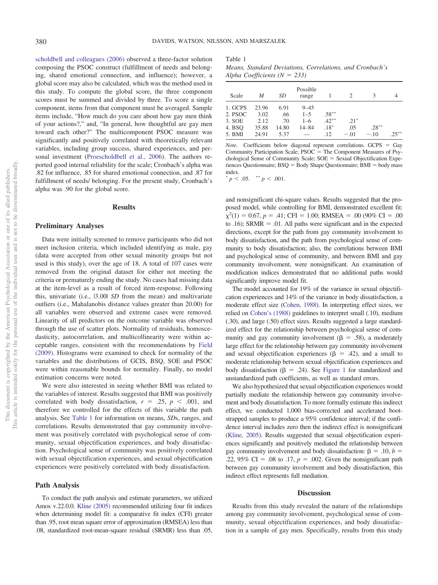[scholdbell and colleagues \(2006\)](#page-8-10) observed a three-factor solution composing the PSOC construct (fulfillment of needs and belonging, shared emotional connection, and influence); however, a global score may also be calculated, which was the method used in this study. To compute the global score, the three component scores must be summed and divided by three. To score a single component, items from that component must be averaged. Sample items include, "How much do you care about how gay men think of your actions?," and, "In general, how thoughtful are gay men toward each other?" The multicomponent PSOC measure was significantly and positively correlated with theoretically relevant variables, including group success, shared experiences, and personal investment [\(Proescholdbell et al., 2006\)](#page-8-10). The authors reported good internal reliability for the scale; Cronbach's alpha was .82 for influence, .85 for shared emotional connection, and .87 for fulfillment of needs/ belonging. For the present study, Cronbach's alpha was .90 for the global score.

## **Results**

#### **Preliminary Analyses**

Data were initially screened to remove participants who did not meet inclusion criteria, which included identifying as male, gay (data were accepted from other sexual minority groups but not used is this study), over the age of 18. A total of 107 cases were removed from the original dataset for either not meeting the criteria or prematurely ending the study. No cases had missing data at the item-level as a result of forced item-response. Following this, univariate (i.e., |3.00| *SD* from the mean) and multivariate outliers (i.e., Mahalanobis distance values greater than 20.00) for all variables were observed and extreme cases were removed. Linearity of all predictors on the outcome variable was observed through the use of scatter plots. Normality of residuals, homoscedasticity, autocorrelation, and multicollinearity were within acceptable ranges, consistent with the recommendations by [Field](#page-7-25) [\(2009\).](#page-7-25) Histograms were examined to check for normality of the variables and the distributions of GCIS, BSQ, SOE and PSOC were within reasonable bounds for normality. Finally, no model estimation concerns were noted.

We were also interested in seeing whether BMI was related to the variables of interest. Results suggested that BMI was positively correlated with body dissatisfaction,  $r = .25$ ,  $p < .001$ , and therefore we controlled for the effects of this variable the path analysis. See [Table 1](#page-4-0) for information on means, *SD*s, ranges, and correlations. Results demonstrated that gay community involvement was positively correlated with psychological sense of community, sexual objectification experiences, and body dissatisfaction. Psychological sense of community was positively correlated with sexual objectification experiences, and sexual objectification experiences were positively correlated with body dissatisfaction.

#### **Path Analysis**

To conduct the path analysis and estimate parameters, we utilized Amos v.22.0.0. [Kline \(2005\)](#page-7-27) recommended utilizing four fit indices when determining model fit: a comparative fit index (CFI) greater than .95, root mean square error of approximation (RMSEA) less than .08, standardized root-mean-square residual (SRMR) less than .05,

### <span id="page-4-0"></span>Table 1

*Means, Standard Deviations, Correlations, and Cronbach's Alpha Coefficients (* $N = 233$ *)* 

| Scale   | M     | SD    | Possible<br>range |          |        |          |         |
|---------|-------|-------|-------------------|----------|--------|----------|---------|
| 1. GCPS | 23.96 | 6.91  | $9 - 4.5$         |          |        |          |         |
| 2. PSOC | 3.02  | .66   | $1 - 5$           | $.58***$ |        |          |         |
| 3. SOE  | 2.12  | .70   | $1 - 6$           | $.42***$ | $.21*$ |          |         |
| 4. BSO  | 35.88 | 14.80 | $14 - 84$         | $.18*$   | .05    | $.28***$ |         |
| 5. BMI  | 24.91 | 5.37  |                   | .12      | $-.01$ | $-.10$   | $25***$ |

*Note*. Coefficients below diagonal represent correlations. GCPS = Gay Community Participation Scale;  $PSOC$  = The Component Measures of Psychological Sense of Community Scale;  $SOE =$  Sexual Objectification Experiences Questionnaire;  $BSQ = Body Shape$  Questionnaire;  $BMI = body$  mass index.

 $p < .05.$  \*  $p < .001$ .

and nonsignificant chi-square values. Results suggested that the proposed model, while controlling for BMI, demonstrated excellent fit:  $\chi^2(1) = 0.67, p = .41; CFI = 1.00; RMSEA = .00 (90\% CI = .00)$ to .16); SRMR = .01. All paths were significant and in the expected directions, except for the path from gay community involvement to body dissatisfaction, and the path from psychological sense of community to body dissatisfaction; also, the correlations between BMI and psychological sense of community, and between BMI and gay community involvement, were nonsignificant. An examination of modification indices demonstrated that no additional paths would significantly improve model fit.

The model accounted for 19% of the variance in sexual objectification experiences and 14% of the variance in body dissatisfaction, a moderate effect size [\(Cohen, 1988\)](#page-6-7). In interpreting effect sizes, we relied on [Cohen's \(1988\)](#page-6-7) guidelines to interpret small (.10), medium (.30), and large (.50) effect sizes. Results suggested a large standardized effect for the relationship between psychological sense of community and gay community involvement ( $\beta = .58$ ), a moderately large effect for the relationship between gay community involvement and sexual objectification experiences ( $\beta$  = .42), and a small to moderate relationship between sexual objectification experiences and body dissatisfaction ( $\beta$  = .24). See [Figure 1](#page-2-0) for standardized and unstandardized path coefficients, as well as standard errors.

We also hypothesized that sexual objectification experiences would partially mediate the relationship between gay community involvement and body dissatisfaction. To more formally estimate this indirect effect, we conducted 1,000 bias-corrected and accelerated bootstrapped samples to produce a 95% confidence interval; if the confidence interval includes zero then the indirect effect is nonsignificant [\(Kline, 2005\)](#page-7-27). Results suggested that sexual objectification experiences significantly and positively mediated the relationship between gay community involvement and body dissatisfaction:  $\beta = .10, b =$ .22, 95% CI = .08 to .17,  $p = .002$ . Given the nonsignificant path between gay community involvement and body dissatisfaction, this indirect effect represents full mediation.

#### **Discussion**

Results from this study revealed the nature of the relationships among gay community involvement, psychological sense of community, sexual objectification experiences, and body dissatisfaction in a sample of gay men. Specifically, results from this study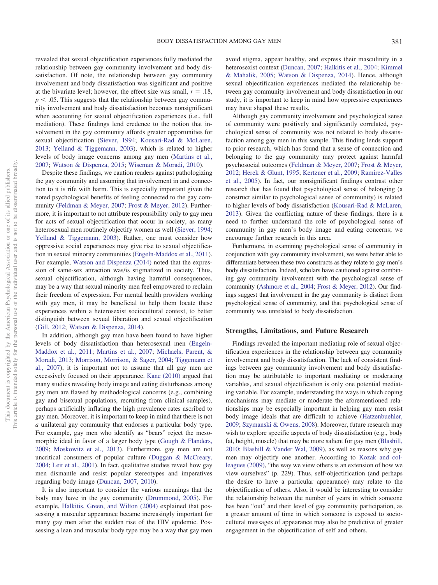revealed that sexual objectification experiences fully mediated the relationship between gay community involvement and body dissatisfaction. Of note, the relationship between gay community involvement and body dissatisfaction was significant and positive at the bivariate level; however, the effect size was small,  $r = .18$ ,  $p < .05$ . This suggests that the relationship between gay community involvement and body dissatisfaction becomes nonsignificant when accounting for sexual objectification experiences (i.e., full mediation). These findings lend credence to the notion that involvement in the gay community affords greater opportunities for sexual objectification [\(Siever, 1994;](#page-8-5) [Kousari-Rad & McLaren,](#page-7-6) [2013;](#page-7-6) [Yelland & Tiggemann, 2003\)](#page-8-21), which is related to higher levels of body image concerns among gay men [\(Martins et al.,](#page-7-10) [2007;](#page-7-10) [Watson & Dispenza, 2015;](#page-8-3) [Wiseman & Moradi, 2010\)](#page-8-4).

Despite these findings, we caution readers against pathologizing the gay community and assuming that involvement in and connection to it is rife with harm. This is especially important given the noted psychological benefits of feeling connected to the gay community [\(Feldman & Meyer, 2007;](#page-7-13) [Frost & Meyer, 2012\)](#page-7-7). Furthermore, it is important to not attribute responsibility only to gay men for acts of sexual objectification that occur in society, as many heterosexual men routinely objectify women as well [\(Siever, 1994;](#page-8-5) [Yelland & Tiggemann, 2003\)](#page-8-21). Rather, one must consider how oppressive social experiences may give rise to sexual objectification in sexual minority communities [\(Engeln-Maddox et al., 2011\)](#page-7-9). For example, [Watson and Dispenza \(2014\)](#page-8-22) noted that the expression of same-sex attraction was/is stigmatized in society. Thus, sexual objectification, although having harmful consequences, may be a way that sexual minority men feel empowered to reclaim their freedom of expression. For mental health providers working with gay men, it may be beneficial to help them locate these experiences within a heterosexist sociocultural context, to better distinguish between sexual liberation and sexual objectification [\(Gill, 2012;](#page-7-28) [Watson & Dispenza, 2014\)](#page-8-22).

In addition, although gay men have been found to have higher levels of body dissatisfaction than heterosexual men [\(Engeln-](#page-7-9)[Maddox et al., 2011;](#page-7-9) [Martins et al., 2007;](#page-7-10) [Michaels, Parent, &](#page-8-23) [Moradi, 2013;](#page-8-23) [Morrison, Morrison, & Sager, 2004;](#page-8-24) [Tiggemann et](#page-8-6) [al., 2007\)](#page-8-6), it is important not to assume that all gay men are excessively focused on their appearance. [Kane \(2010\)](#page-7-29) argued that many studies revealing body image and eating disturbances among gay men are flawed by methodological concerns (e.g., combining gay and bisexual populations, recruiting from clinical samples), perhaps artificially inflating the high prevalence rates ascribed to gay men. Moreover, it is important to keep in mind that there is not *a* unilateral gay community that endorses a particular body type. For example, gay men who identify as "bears" reject the mesomorphic ideal in favor of a larger body type [\(Gough & Flanders,](#page-7-30) [2009;](#page-7-30) [Moskowitz et al., 2013\)](#page-8-7). Furthermore, gay men are not uncritical consumers of popular culture [\(Duggan & McCreary,](#page-7-3) [2004;](#page-7-3) [Leit et al., 2001\)](#page-7-1). In fact, qualitative studies reveal how gay men dismantle and resist popular stereotypes and imperatives regarding body image [\(Duncan, 2007,](#page-7-24) [2010\)](#page-7-31).

It is also important to consider the various meanings that the body may have in the gay community [\(Drummond, 2005\)](#page-6-6). For example, [Halkitis, Green, and Wilton \(2004\)](#page-7-32) explained that possessing a muscular appearance became increasingly important for many gay men after the sudden rise of the HIV epidemic. Possessing a lean and muscular body type may be a way that gay men

avoid stigma, appear healthy, and express their masculinity in a heterosexist context [\(Duncan, 2007;](#page-7-24) [Halkitis et al., 2004;](#page-7-32) [Kimmel](#page-7-33) [& Mahalik, 2005;](#page-7-33) [Watson & Dispenza, 2014\)](#page-8-22). Hence, although sexual objectification experiences mediated the relationship between gay community involvement and body dissatisfaction in our study, it is important to keep in mind how oppressive experiences may have shaped these results.

Although gay community involvement and psychological sense of community were positively and significantly correlated, psychological sense of community was not related to body dissatisfaction among gay men in this sample. This finding lends support to prior research, which has found that a sense of connection and belonging to the gay community may protect against harmful psychosocial outcomes [\(Feldman & Meyer, 2007;](#page-7-13) [Frost & Meyer,](#page-7-7) [2012;](#page-7-7) [Herek & Glunt, 1995;](#page-7-19) [Kertzner et al., 2009;](#page-7-18) [Ramirez-Valles](#page-8-11) [et al., 2005\)](#page-8-11). In fact, our nonsignificant findings contrast other research that has found that psychological sense of belonging (a construct similar to psychological sense of community) is related to higher levels of body dissatisfaction [\(Kousari-Rad & McLaren,](#page-7-6) [2013\)](#page-7-6). Given the conflicting nature of these findings, there is a need to further understand the role of psychological sense of community in gay men's body image and eating concerns; we encourage further research in this area.

Furthermore, in examining psychological sense of community in conjunction with gay community involvement, we were better able to differentiate between these two constructs as they relate to gay men's body dissatisfaction. Indeed, scholars have cautioned against combining gay community involvement with the psychological sense of community [\(Ashmore et al., 2004;](#page-6-4) [Frost & Meyer, 2012\)](#page-7-7). Our findings suggest that involvement in the gay community is distinct from psychological sense of community, and that psychological sense of community was unrelated to body dissatisfaction.

## **Strengths, Limitations, and Future Research**

Findings revealed the important mediating role of sexual objectification experiences in the relationship between gay community involvement and body dissatisfaction. The lack of consistent findings between gay community involvement and body dissatisfaction may be attributable to important mediating or moderating variables, and sexual objectification is only one potential mediating variable. For example, understanding the ways in which coping mechanisms may mediate or moderate the aforementioned relationships may be especially important in helping gay men resist body image ideals that are difficult to achieve [\(Hatzenbuehler,](#page-7-34) [2009;](#page-7-34) [Szymanski & Owens, 2008\)](#page-8-25). Moreover, future research may wish to explore specific aspects of body dissatisfaction (e.g., body fat, height, muscle) that may be more salient for gay men [\(Blashill,](#page-6-8) [2010;](#page-6-8) [Blashill & Vander Wal, 2009\)](#page-6-9), as well as reasons why gay men may objectify one another. According to [Kozak and col](#page-7-11)[leagues \(2009\),](#page-7-11) "the way we view others is an extension of how we view ourselves" (p. 229). Thus, self-objectification (and perhaps the desire to have a particular appearance) may relate to the objectification of others. Also, it would be interesting to consider the relationship between the number of years in which someone has been "out" and their level of gay community participation, as a greater amount of time in which someone is exposed to sociocultural messages of appearance may also be predictive of greater engagement in the objectification of self and others.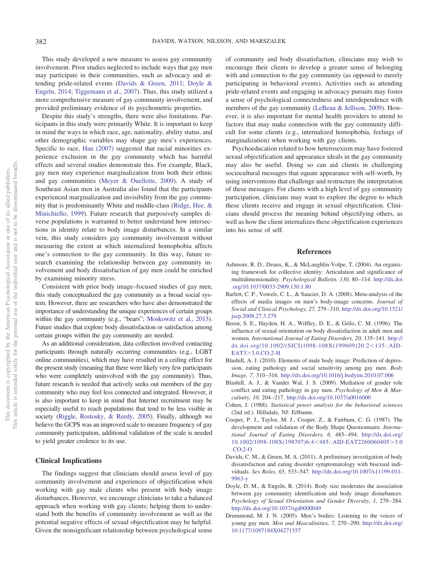This study developed a new measure to assess gay community involvement. Prior studies neglected to include ways that gay men may participate in their communities, such as advocacy and attending pride-related events [\(Davids & Green, 2011;](#page-6-2) [Doyle &](#page-6-3) [Engeln, 2014;](#page-6-3) [Tiggemann et al., 2007\)](#page-8-6). Thus, this study utilized a more comprehensive measure of gay community involvement, and provided preliminary evidence of its psychometric properties.

Despite this study's strengths, there were also limitations. Participants in this study were primarily White. It is important to keep in mind the ways in which race, age, nationality, ability status, and other demographic variables may shape gay men's experiences. Specific to race, [Han \(2007\)](#page-7-35) suggested that racial minorities experience exclusion in the gay community which has harmful effects and several studies demonstrate this. For example, Black, gay men may experience marginalization from both their ethnic and gay communities [\(Meyer & Ouellette, 2009\)](#page-7-36). A study of Southeast Asian men in Australia also found that the participants experienced marginalization and invisibility from the gay community that is predominantly White and middle-class [\(Ridge, Hee, &](#page-8-26) [Minichiello, 1999\)](#page-8-26). Future research that purposively samples diverse populations is warranted to better understand how intersections in identity relate to body image disturbances. In a similar vein, this study considers gay community involvement without measuring the extent at which internalized homophobia affects one's connection to the gay community. In this way, future research examining the relationship between gay community involvement and body dissatisfaction of gay men could be enriched by examining minority stress.

Consistent with prior body image–focused studies of gay men, this study conceptualized the gay community as a broad social system. However, there are researchers who have also demonstrated the importance of understanding the unique experiences of certain groups within the gay community (e.g., "bears"; [Moskowitz et al., 2013\)](#page-8-7). Future studies that explore body dissatisfaction or satisfaction among certain groups within the gay community are needed.

As an additional consideration, data collection involved contacting participants through naturally occurring communities (e.g., LGBT online communities), which may have resulted in a ceiling effect for the present study (meaning that there were likely very few participants who were completely uninvolved with the gay community). Thus, future research is needed that actively seeks out members of the gay community who may feel less connected and integrated. However, it is also important to keep in mind that Internet recruitment may be especially useful to reach populations that tend to be less visible in society [\(Riggle, Rostosky, & Reedy, 2005\)](#page-8-27). Finally, although we believe the GCPS was an improved scale to measure frequency of gay community participation, additional validation of the scale is needed to yield greater credence to its use.

## **Clinical Implications**

The findings suggest that clinicians should assess level of gay community involvement and experiences of objectification when working with gay male clients who present with body image disturbances. However, we encourage clinicians to take a balanced approach when working with gay clients; helping them to understand both the benefits of community involvement as well as the potential negative effects of sexual objectification may be helpful. Given the nonsignificant relationship between psychological sense

of community and body dissatisfaction, clinicians may wish to encourage their clients to develop a greater sense of belonging with and connection to the gay community (as opposed to merely participating in behavioral events). Activities such as attending pride-related events and engaging in advocacy pursuits may foster a sense of psychological connectedness and interdependence with members of the gay community [\(LeBeau & Jellison, 2009\)](#page-7-20). However, it is also important for mental health providers to attend to factors that may make connection with the gay community difficult for some clients (e.g., internalized homophobia, feelings of marginalization) when working with gay clients.

Psychoeducation related to how heterosexism may have fostered sexual objectification and appearance ideals in the gay community may also be useful. Doing so can aid clients in challenging sociocultural messages that equate appearance with self-worth, by using interventions that challenge and restructure the interpretation of these messages. For clients with a high level of gay community participation, clinicians may want to explore the degree to which these clients receive and engage in sexual objectification. Clinicians should process the meaning behind objectifying others, as well as how the client internalizes these objectification experiences into his sense of self.

## **References**

- <span id="page-6-4"></span>Ashmore, R. D., Deaux, K., & McLaughlin-Volpe, T. (2004). An organizing framework for collective identity: Articulation and significance of multidimensionality. *Psychological Bulletin, 130,* 80 –114. [http://dx.doi](http://dx.doi.org/10.1037/0033-2909.130.1.80) [.org/10.1037/0033-2909.130.1.80](http://dx.doi.org/10.1037/0033-2909.130.1.80)
- <span id="page-6-0"></span>Barlett, C. P., Vowels, C. L., & Saucier, D. A. (2008). Meta-analysis of the effects of media images on men's body-image concerns. *Journal of Social and Clinical Psychology, 27,* 279 –310. [http://dx.doi.org/10.1521/](http://dx.doi.org/10.1521/jscp.2008.27.3.279) [jscp.2008.27.3.279](http://dx.doi.org/10.1521/jscp.2008.27.3.279)
- <span id="page-6-1"></span>Beren, S. E., Hayden, H. A., Wilfley, D. E., & Grilo, C. M. (1996). The influence of sexual orientation on body dissatisfaction in adult men and women. *International Journal of Eating Disorders, 20,* 135–141. [http://](http://dx.doi.org/10.1002/%28SICI%291098-108X%28199609%2920:2%3C135::AID-EAT3%3E3.0.CO;2-H) [dx.doi.org/10.1002/\(SICI\)1098-108X\(199609\)20:2](http://dx.doi.org/10.1002/%28SICI%291098-108X%28199609%2920:2%3C135::AID-EAT3%3E3.0.CO;2-H)<135::AID-EAT3[3.0.CO;2-H](http://dx.doi.org/10.1002/%28SICI%291098-108X%28199609%2920:2%3C135::AID-EAT3%3E3.0.CO;2-H)
- <span id="page-6-8"></span>Blashill, A. J. (2010). Elements of male body image: Prediction of depression, eating pathology and social sensitivity among gay men. *Body Image, 7,* 310 –316. <http://dx.doi.org/10.1016/j.bodyim.2010.07.006>
- <span id="page-6-9"></span>Blashill, A. J., & Vander Wal, J. S. (2009). Mediation of gender role conflict and eating pathology in gay men. *Psychology of Men & Masculinity, 10,* 204 –217. <http://dx.doi.org/10.1037/a0016000>
- <span id="page-6-7"></span>Cohen, J. (1988). *Statistical power analysis for the behavioral sciences* (2nd ed.). Hillsdale, NJ: Erlbaum.
- <span id="page-6-5"></span>Cooper, P. J., Taylor, M. J., Cooper, Z., & Fairbum, C. G. (1987). The development and validation of the Body Shape Questionnaire. *International Journal of Eating Disorders, 6,* 485– 494. [http://dx.doi.org/](http://dx.doi.org/10.1002/1098-108X%28198707%296:4%3C485::AID-EAT2260060405%3E3.0.CO;2-O) [10.1002/1098-108X\(198707\)6:4](http://dx.doi.org/10.1002/1098-108X%28198707%296:4%3C485::AID-EAT2260060405%3E3.0.CO;2-O)<485::AID-EAT2260060405>3.0 [.CO;2-O](http://dx.doi.org/10.1002/1098-108X%28198707%296:4%3C485::AID-EAT2260060405%3E3.0.CO;2-O)
- <span id="page-6-2"></span>Davids, C. M., & Green, M. A. (2011). A preliminary investigation of body dissatisfaction and eating disorder symptomatology with bisexual individuals. *Sex Roles, 65,* 533–547. [http://dx.doi.org/10.1007/s11199-011-](http://dx.doi.org/10.1007/s11199-011-9963-y) [9963-y](http://dx.doi.org/10.1007/s11199-011-9963-y)
- <span id="page-6-3"></span>Doyle, D. M., & Engeln, R. (2014). Body size moderates the association between gay community identification and body image disturbances. *Psychology of Sexual Orientation and Gender Diversity, 1,* 279 –284. <http://dx.doi.org/10.1037/sgd0000049>
- <span id="page-6-6"></span>Drummond, M. J. N. (2005). Men's bodies: Listening to the voices of young gay men. *Men and Masculinities, 7,* 270 –290. [http://dx.doi.org/](http://dx.doi.org/10.1177/1097184X04271357) [10.1177/1097184X04271357](http://dx.doi.org/10.1177/1097184X04271357)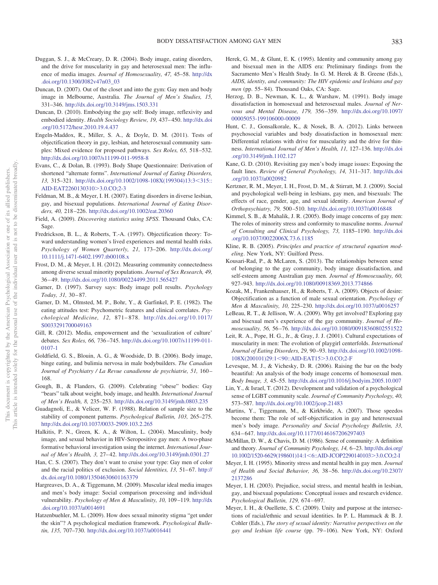- <span id="page-7-3"></span>Duggan, S. J., & McCreary, D. R. (2004). Body image, eating disorders, and the drive for muscularity in gay and heterosexual men: The influence of media images. *Journal of Homosexuality, 47,* 45–58. [http://dx](http://dx.doi.org/10.1300/J082v47n03_03) [.doi.org/10.1300/J082v47n03\\_03](http://dx.doi.org/10.1300/J082v47n03_03)
- <span id="page-7-24"></span>Duncan, D. (2007). Out of the closet and into the gym: Gay men and body image in Melbourne, Australia. *The Journal of Men's Studies, 15,* 331–346. <http://dx.doi.org/10.3149/jms.1503.331>
- <span id="page-7-31"></span>Duncan, D. (2010). Embodying the gay self: Body image, reflexivity and embodied identity. *Health Sociology Review, 19,* 437– 450. [http://dx.doi](http://dx.doi.org/10.5172/hesr.2010.19.4.437) [.org/10.5172/hesr.2010.19.4.437](http://dx.doi.org/10.5172/hesr.2010.19.4.437)
- <span id="page-7-9"></span>Engeln-Maddox, R., Miller, S. A., & Doyle, D. M. (2011). Tests of objectification theory in gay, lesbian, and heterosexual community samples: Mixed evidence for proposed pathways. *Sex Roles, 65,* 518 –532. <http://dx.doi.org/10.1007/s11199-011-9958-8>
- <span id="page-7-22"></span>Evans, C., & Dolan, B. (1993). Body Shape Questionnaire: Derivation of shortened "alternate forms". *International Journal of Eating Disorders, 13*, 315–321. [http://dx.doi.org/10.1002/1098-108X\(199304\)13:3](http://dx.doi.org/10.1002/1098-108X%28199304%2913:3%3C315::AID-EAT2260130310%3E3.0.CO;2-3)<315:: [AID-EAT2260130310](http://dx.doi.org/10.1002/1098-108X%28199304%2913:3%3C315::AID-EAT2260130310%3E3.0.CO;2-3)>3.0.CO;2-3
- <span id="page-7-13"></span>Feldman, M. B., & Meyer, I. H. (2007). Eating disorders in diverse lesbian, gay, and bisexual populations. *International Journal of Eating Disorders, 40,* 218 –226. <http://dx.doi.org/10.1002/eat.20360>
- <span id="page-7-25"></span>Field, A. (2009). *Discovering statistics using SPSS*. Thousand Oaks, CA: Sage.
- <span id="page-7-4"></span>Fredrickson, B. L., & Roberts, T.-A. (1997). Objectification theory: Toward understanding women's lived experiences and mental health risks. *Psychology of Women Quarterly, 21,* 173–206. [http://dx.doi.org/](http://dx.doi.org/10.1111/j.1471-6402.1997.tb00108.x) [10.1111/j.1471-6402.1997.tb00108.x](http://dx.doi.org/10.1111/j.1471-6402.1997.tb00108.x)
- <span id="page-7-7"></span>Frost, D. M., & Meyer, I. H. (2012). Measuring community connectedness among diverse sexual minority populations. *Journal of Sex Research, 49,* 36 – 49. <http://dx.doi.org/10.1080/00224499.2011.565427>
- <span id="page-7-21"></span>Garner, D. (1997). Survey says: Body image poll results. *Psychology Today, 31,* 30 – 87.
- <span id="page-7-23"></span>Garner, D. M., Olmsted, M. P., Bohr, Y., & Garfinkel, P. E. (1982). The eating attitudes test: Psychometric features and clinical correlates. *Psychological Medicine, 12,* 871– 878. [http://dx.doi.org/10.1017/](http://dx.doi.org/10.1017/S0033291700049163) [S0033291700049163](http://dx.doi.org/10.1017/S0033291700049163)
- <span id="page-7-28"></span>Gill, R. (2012). Media, empowerment and the 'sexualization of culture' debates. *Sex Roles, 66,* 736 –745. [http://dx.doi.org/10.1007/s11199-011-](http://dx.doi.org/10.1007/s11199-011-0107-1) [0107-1](http://dx.doi.org/10.1007/s11199-011-0107-1)
- <span id="page-7-0"></span>Goldfield, G. S., Blouin, A. G., & Woodside, D. B. (2006). Body image, binge eating, and bulimia nervosa in male bodybuilders. *The Canadian Journal of Psychiatry / La Revue canadienne de psychiatrie, 51,* 160 – 168.
- <span id="page-7-30"></span>Gough, B., & Flanders, G. (2009). Celebrating "obese" bodies: Gay "bears" talk about weight, body image, and health. *International Journal of Men's Health, 8,* 235–253. <http://dx.doi.org/10.3149/jmh.0803.235>
- <span id="page-7-26"></span>Guadagnoli, E., & Velicer, W. F. (1988). Relation of sample size to the stability of component patterns. *Psychological Bulletin, 103,* 265–275. <http://dx.doi.org/10.1037/0033-2909.103.2.265>
- <span id="page-7-32"></span>Halkitis, P. N., Green, K. A., & Wilton, L. (2004). Masculinity, body image, and sexual behavior in HIV-Seropositive gay men: A two-phase formative behavioral investigation using the internet. *International Journal of Men's Health, 3,* 27– 42. <http://dx.doi.org/10.3149/jmh.0301.27>
- <span id="page-7-35"></span>Han, C. S. (2007). They don't want to cruise your type: Gay men of color and the racial politics of exclusion. *Social Identities, 13, 51*–67. [http://](http://dx.doi.org/10.1080/13504630601163379) [dx.doi.org/10.1080/13504630601163379](http://dx.doi.org/10.1080/13504630601163379)
- <span id="page-7-2"></span>Hargreaves, D. A., & Tiggemann, M. (2009). Muscular ideal media images and men's body image: Social comparison processing and individual vulnerability. *Psychology of Men & Masculinity, 10,* 109 –119. [http://dx](http://dx.doi.org/10.1037/a0014691) [.doi.org/10.1037/a0014691](http://dx.doi.org/10.1037/a0014691)
- <span id="page-7-34"></span>Hatzenbuehler, M. L. (2009). How does sexual minority stigma "get under the skin"? A psychological mediation framework. *Psychological Bulletin, 135,* 707–730. <http://dx.doi.org/10.1037/a0016441>
- <span id="page-7-19"></span>Herek, G. M., & Glunt, E. K. (1995). Identity and community among gay and bisexual men in the AIDS era: Preliminary findings from the Sacramento Men's Health Study. In G. M. Herek & B. Greene (Eds.), *AIDS, identity, and community: The HIV epidemic and lesbians and gay men* (pp. 55– 84). Thousand Oaks, CA: Sage.
- <span id="page-7-5"></span>Herzog, D. B., Newman, K. L., & Warshaw, M. (1991). Body image dissatisfaction in homosexual and heterosexual males. *Journal of Nervous and Mental Disease, 179,* 356 –359. [http://dx.doi.org/10.1097/](http://dx.doi.org/10.1097/00005053-199106000-00009) [00005053-199106000-00009](http://dx.doi.org/10.1097/00005053-199106000-00009)
- <span id="page-7-12"></span>Hunt, C. J., Gonsalkorale, K., & Nosek, B. A. (2012). Links between psychosocial variables and body dissatisfaction in homosexual men: Differential relations with drive for muscularity and the drive for thinness. *International Journal of Men's Health, 11,* 127–136. [http://dx.doi](http://dx.doi.org/10.3149/jmh.1102.127) [.org/10.3149/jmh.1102.127](http://dx.doi.org/10.3149/jmh.1102.127)
- <span id="page-7-29"></span>Kane, G. D. (2010). Revisiting gay men's body image issues: Exposing the fault lines. *Review of General Psychology, 14,* 311–317. [http://dx.doi](http://dx.doi.org/10.1037/a0020982) [.org/10.1037/a0020982](http://dx.doi.org/10.1037/a0020982)
- <span id="page-7-18"></span>Kertzner, R. M., Meyer, I. H., Frost, D. M., & Stirratt, M. J. (2009). Social and psychological well-being in lesbians, gay men, and bisexuals: The effects of race, gender, age, and sexual identity. *American Journal of Orthopsychiatry, 79,* 500 –510. <http://dx.doi.org/10.1037/a0016848>
- <span id="page-7-33"></span>Kimmel, S. B., & Mahalik, J. R. (2005). Body image concerns of gay men: The roles of minority stress and conformity to masculine norms. *Journal of Consulting and Clinical Psychology, 73,* 1185–1190. [http://dx.doi](http://dx.doi.org/10.1037/0022006X.73.6.1185) [.org/10.1037/0022006X.73.6.1185](http://dx.doi.org/10.1037/0022006X.73.6.1185)
- <span id="page-7-27"></span>Kline, R. B. (2005). *Principles and practice of structural equation modeling*. New York, NY: Guilford Press.
- <span id="page-7-6"></span>Kousari-Rad, P., & McLaren, S. (2013). The relationships between sense of belonging to the gay community, body image dissatisfaction, and self-esteem among Australian gay men. *Journal of Homosexuality, 60,* 927–943. <http://dx.doi.org/10.1080/00918369.2013.774866>
- <span id="page-7-11"></span>Kozak, M., Frankenhauser, H., & Roberts, T. A. (2009). Objects of desire: Objectification as a function of male sexual orientation. *Psychology of Men & Masculinity, 10,* 225–230. <http://dx.doi.org/10.1037/a0016257>
- <span id="page-7-20"></span>LeBeau, R. T., & Jellison, W. A. (2009). Why get involved? Exploring gay and bisexual men's experience of the gay community. *Journal of Homosexuality, 56,* 56 –76. <http://dx.doi.org/10.1080/00918360802551522>
- <span id="page-7-1"></span>Leit, R. A., Pope, H. G., Jr., & Gray, J. J. (2001). Cultural expectations of muscularity in men: The evolution of playgirl centerfolds. *International Journal of Eating Disorders, 29,* 90 –93. [http://dx.doi.org/10.1002/1098-](http://dx.doi.org/10.1002/1098-108X%28200101%2929:1%3C90::AID-EAT15%3E3.0.CO;2-F) [108X\(200101\)29:1](http://dx.doi.org/10.1002/1098-108X%28200101%2929:1%3C90::AID-EAT15%3E3.0.CO;2-F)<90::AID-EAT15>3.0.CO;2-F
- <span id="page-7-8"></span>Levesque, M. J., & Vichesky, D. R. (2006). Raising the bar on the body beautiful: An analysis of the body image concerns of homosexual men. *Body Image, 3,* 45–55. <http://dx.doi.org/10.1016/j.bodyim.2005.10.007>
- <span id="page-7-14"></span>Lin, Y., & Israel, T. (2012). Development and validation of a psychological sense of LGBT community scale. *Journal of Community Psychology, 40,* 573–587. <http://dx.doi.org/10.1002/jcop.21483>
- <span id="page-7-10"></span>Martins, Y., Tiggemann, M., & Kirkbride, A. (2007). Those speedos become them: The role of self-objectification in gay and heterosexual men's body image. *Personality and Social Psychology Bulletin, 33,* 634 – 647. <http://dx.doi.org/10.1177/0146167206297403>
- <span id="page-7-15"></span>McMillan, D. W., & Chavis, D. M. (1986). Sense of community: A definition and theory. *Journal of Community Psychology, 14,* 6 –23. [http://dx.doi.org/](http://dx.doi.org/10.1002/1520-6629%28198601%2914:1%3C6::AID-JCOP2290140103%3E3.0.CO;2-I) [10.1002/1520-6629\(198601\)14:1](http://dx.doi.org/10.1002/1520-6629%28198601%2914:1%3C6::AID-JCOP2290140103%3E3.0.CO;2-I)<6::AID-JCOP2290140103>3.0.CO;2-I
- <span id="page-7-16"></span>Meyer, I. H. (1995). Minority stress and mental health in gay men. *Journal of Health and Social Behavior, 36,* 38 –56. [http://dx.doi.org/10.2307/](http://dx.doi.org/10.2307/2137286) [2137286](http://dx.doi.org/10.2307/2137286)
- <span id="page-7-17"></span>Meyer, I. H. (2003). Prejudice, social stress, and mental health in lesbian, gay, and bisexual populations: Conceptual issues and research evidence. *Psychological Bulletin, 129,* 674 – 697.
- <span id="page-7-36"></span>Meyer, I. H., & Ouellette, S. C. (2009). Unity and purpose at the intersections of racial/ethnic and sexual identities. In P. L. Hammack & B. J. Cohler (Eds.), *The story of sexual identity: Narrative perspectives on the gay and lesbian life course* (pp. 79 –106). New York, NY: Oxford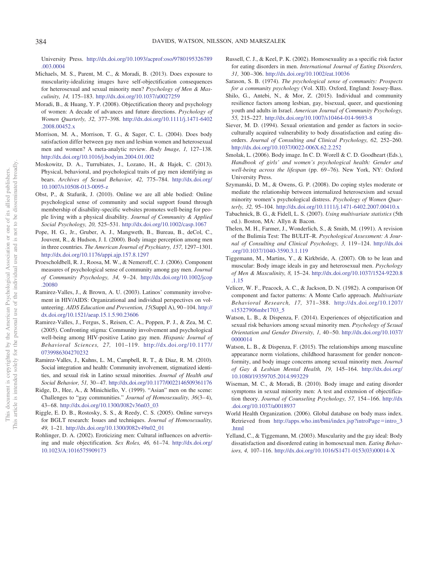University Press. [http://dx.doi.org/10.1093/acprof:oso/9780195326789](http://dx.doi.org/10.1093/acprof:oso/9780195326789.003.0004) [.003.0004](http://dx.doi.org/10.1093/acprof:oso/9780195326789.003.0004)

- <span id="page-8-23"></span>Michaels, M. S., Parent, M. C., & Moradi, B. (2013). Does exposure to muscularity-idealizing images have self-objectification consequences for heterosexual and sexual minority men? *Psychology of Men & Masculinity, 14,* 175–183. <http://dx.doi.org/10.1037/a0027259>
- <span id="page-8-8"></span>Moradi, B., & Huang, Y. P. (2008). Objectification theory and psychology of women: A decade of advances and future directions. *Psychology of Women Quarterly, 32,* 377–398. [http://dx.doi.org/10.1111/j.1471-6402](http://dx.doi.org/10.1111/j.1471-6402.2008.00452.x) [.2008.00452.x](http://dx.doi.org/10.1111/j.1471-6402.2008.00452.x)
- <span id="page-8-24"></span>Morrison, M. A., Morrison, T. G., & Sager, C. L. (2004). Does body satisfaction differ between gay men and lesbian women and heterosexual men and women? A meta-analytic review. *Body Image, 1,* 127–138. <http://dx.doi.org/10.1016/j.bodyim.2004.01.002>
- <span id="page-8-7"></span>Moskowitz, D. A., Turrubiates, J., Lozano, H., & Hajek, C. (2013). Physical, behavioral, and psychological traits of gay men identifying as bears. *Archives of Sexual Behavior, 42,* 775–784. [http://dx.doi.org/](http://dx.doi.org/10.1007/s10508-013-0095-z) [10.1007/s10508-013-0095-z](http://dx.doi.org/10.1007/s10508-013-0095-z)
- <span id="page-8-15"></span>Obst, P., & Stafurik, J. (2010). Online we are all able bodied: Online psychological sense of community and social support found through membership of disability-specific websites promotes well-being for people living with a physical disability. *Journal of Community & Applied Social Psychology, 20,* 525–531. <http://dx.doi.org/10.1002/casp.1067>
- <span id="page-8-1"></span>Pope, H. G., Jr., Gruber, A. J., Mangweth, B., Bureau, B., deCol, C., Jouvent, R., & Hudson, J. I. (2000). Body image perception among men in three countries. *The American Journal of Psychiatry, 157,* 1297–1301. <http://dx.doi.org/10.1176/appi.ajp.157.8.1297>
- <span id="page-8-10"></span>Proescholdbell, R. J., Roosa, M. W., & Nemeroff, C. J. (2006). Component measures of psychological sense of community among gay men. *Journal of Community Psychology, 34,* 9 –24. [http://dx.doi.org/10.1002/jcop](http://dx.doi.org/10.1002/jcop.20080) [.20080](http://dx.doi.org/10.1002/jcop.20080)
- <span id="page-8-14"></span>Ramirez-Valles, J., & Brown, A. U. (2003). Latinos' community involvement in HIV/AIDS: Organizational and individual perspectives on volunteering. *AIDS Education and Prevention, 15*(Suppl A), 90 –104. [http://](http://dx.doi.org/10.1521/aeap.15.1.5.90.23606) [dx.doi.org/10.1521/aeap.15.1.5.90.23606](http://dx.doi.org/10.1521/aeap.15.1.5.90.23606)
- <span id="page-8-11"></span>Ramirez-Valles, J., Fergus, S., Reisen, C. A., Poppen, P. J., & Zea, M. C. (2005). Confronting stigma: Community involvement and psychological well-being among HIV-positive Latino gay men. *Hispanic Journal of Behavioral Sciences, 27,* 101–119. [http://dx.doi.org/10.1177/](http://dx.doi.org/10.1177/0739986304270232) [0739986304270232](http://dx.doi.org/10.1177/0739986304270232)
- <span id="page-8-13"></span>Ramirez-Valles, J., Kuhns, L. M., Campbell, R. T., & Diaz, R. M. (2010). Social integration and health: Community involvement, stigmatized identities, and sexual risk in Latino sexual minorities. *Journal of Health and Social Behavior, 51,* 30 – 47. <http://dx.doi.org/10.1177/0022146509361176>
- <span id="page-8-26"></span>Ridge, D., Hee, A., & Minichiello, V. (1999). "Asian" men on the scene: Challenges to "gay communities." *Journal of Homosexuality, 36*(3-4), 43– 68. [http://dx.doi.org/10.1300/J082v36n03\\_03](http://dx.doi.org/10.1300/J082v36n03_03)
- <span id="page-8-27"></span>Riggle, E. D. B., Rostosky, S. S., & Reedy, C. S. (2005). Online surveys for BGLT research: Issues and techniques. *Journal of Homosexuality, 49,* 1–21. [http://dx.doi.org/10.1300/J082v49n02\\_01](http://dx.doi.org/10.1300/J082v49n02_01)
- <span id="page-8-2"></span>Rohlinger, D. A. (2002). Eroticizing men: Cultural influences on advertising and male objectification. *Sex Roles, 46,* 61–74. [http://dx.doi.org/](http://dx.doi.org/10.1023/A:1016575909173) [10.1023/A:1016575909173](http://dx.doi.org/10.1023/A:1016575909173)
- <span id="page-8-17"></span>Russell, C. J., & Keel, P. K. (2002). Homosexuality as a specific risk factor for eating disorders in men. *International Journal of Eating Disorders, 31,* 300 –306. <http://dx.doi.org/10.1002/eat.10036>
- <span id="page-8-9"></span>Sarason, S. B. (1974). *The psychological sense of community: Prospects for a community psychology* (Vol. XII). Oxford, England: Jossey-Bass.
- <span id="page-8-12"></span>Shilo, G., Antebi, N., & Mor, Z. (2015). Individual and community resilience factors among lesbian, gay, bisexual, queer, and questioning youth and adults in Israel. *American Journal of Community Psychology, 55,* 215–227. <http://dx.doi.org/10.1007/s10464-014-9693-8>
- <span id="page-8-5"></span>Siever, M. D. (1994). Sexual orientation and gender as factors in socioculturally acquired vulnerability to body dissatisfaction and eating disorders. *Journal of Consulting and Clinical Psychology, 62,* 252–260. <http://dx.doi.org/10.1037/0022-006X.62.2.252>
- <span id="page-8-0"></span>Smolak, L. (2006). Body image. In C. D. Worell & C. D. Goodheart (Eds.), *Handbook of girls' and women's psychological health: Gender and well-being across the lifespan* (pp. 69 –76). New York, NY: Oxford University Press.
- <span id="page-8-25"></span>Szymanski, D. M., & Owens, G. P. (2008). Do coping styles moderate or mediate the relationship between internalized heterosexism and sexual minority women's psychological distress. *Psychology of Women Quarterly, 32,* 95–104. <http://dx.doi.org/10.1111/j.1471-6402.2007.00410.x>
- <span id="page-8-19"></span>Tabachnick, B. G., & Fidell, L. S. (2007). *Using multivariate statistics* (5th ed.). Boston, MA: Allyn & Bacon.
- <span id="page-8-18"></span>Thelen, M. H., Farmer, J., Wonderlich, S., & Smith, M. (1991). A revision of the Bulimia Test: The BULIT–R. *Psychological Assessment: A Journal of Consulting and Clinical Psychology, 3,* 119 –124. [http://dx.doi](http://dx.doi.org/10.1037/1040-3590.3.1.119) [.org/10.1037/1040-3590.3.1.119](http://dx.doi.org/10.1037/1040-3590.3.1.119)
- <span id="page-8-6"></span>Tiggemann, M., Martins, Y., & Kirkbride, A. (2007). Oh to be lean and muscular: Body image ideals in gay and heterosexual men. *Psychology of Men & Masculinity, 8,* 15–24. [http://dx.doi.org/10.1037/1524-9220.8](http://dx.doi.org/10.1037/1524-9220.8.1.15) [.1.15](http://dx.doi.org/10.1037/1524-9220.8.1.15)
- <span id="page-8-20"></span>Velicer, W. F., Peacock, A. C., & Jackson, D. N. (1982). A comparison Of component and factor patterns: A Monte Carlo approach. *Multivariate Behavioral Research, 17,* 371–388. [http://dx.doi.org/10.1207/](http://dx.doi.org/10.1207/s15327906mbr1703_5) [s15327906mbr1703\\_5](http://dx.doi.org/10.1207/s15327906mbr1703_5)
- <span id="page-8-22"></span>Watson, L. B., & Dispenza, F. (2014). Experiences of objectification and sexual risk behaviors among sexual minority men. *Psychology of Sexual Orientation and Gender Diversity, 1,* 40 –50. [http://dx.doi.org/10.1037/](http://dx.doi.org/10.1037/0000014) [0000014](http://dx.doi.org/10.1037/0000014)
- <span id="page-8-3"></span>Watson, L. B., & Dispenza, F. (2015). The relationships among masculine appearance norm violations, childhood harassment for gender nonconformity, and body image concerns among sexual minority men. *Journal of Gay & Lesbian Mental Health, 19,* 145–164. [http://dx.doi.org/](http://dx.doi.org/10.1080/19359705.2014.993229) [10.1080/19359705.2014.993229](http://dx.doi.org/10.1080/19359705.2014.993229)
- <span id="page-8-4"></span>Wiseman, M. C., & Moradi, B. (2010). Body image and eating disorder symptoms in sexual minority men: A test and extension of objectification theory. *Journal of Counseling Psychology, 57,* 154 –166. [http://dx](http://dx.doi.org/10.1037/a0018937) [.doi.org/10.1037/a0018937](http://dx.doi.org/10.1037/a0018937)
- <span id="page-8-16"></span>World Health Organization. (2006). Global database on body mass index. Retrieved from [http://apps.who.int/bmi/index.jsp?introPage](http://apps.who.int/bmi/index.jsp?introPage=intro_3.html)=intro\_3 [.html](http://apps.who.int/bmi/index.jsp?introPage=intro_3.html)
- <span id="page-8-21"></span>Yelland, C., & Tiggemann, M. (2003). Muscularity and the gay ideal: Body dissatisfaction and disordered eating in homosexual men. *Eating Behaviors, 4,* 107–116. [http://dx.doi.org/10.1016/S1471-0153\(03\)00014-X](http://dx.doi.org/10.1016/S1471-0153%2803%2900014-X)